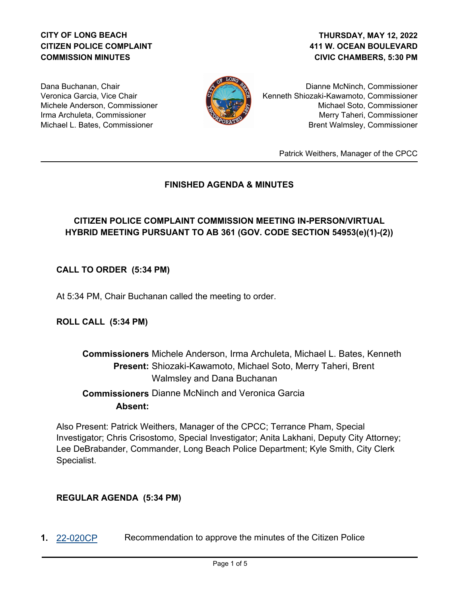# **CITY OF LONG BEACH CITIZEN POLICE COMPLAINT COMMISSION MINUTES**

## **411 W. OCEAN BOULEVARD CIVIC CHAMBERS, 5:30 PM THURSDAY, MAY 12, 2022**

Dana Buchanan, Chair Veronica Garcia, Vice Chair Michele Anderson, Commissioner Irma Archuleta, Commissioner Michael L. Bates, Commissioner



Dianne McNinch, Commissioner Kenneth Shiozaki-Kawamoto, Commissioner Michael Soto, Commissioner Merry Taheri, Commissioner Brent Walmsley, Commissioner

Patrick Weithers, Manager of the CPCC

# **FINISHED AGENDA & MINUTES**

# **CITIZEN POLICE COMPLAINT COMMISSION MEETING IN-PERSON/VIRTUAL HYBRID MEETING PURSUANT TO AB 361 (GOV. CODE SECTION 54953(e)(1)-(2))**

# **CALL TO ORDER (5:34 PM)**

At 5:34 PM, Chair Buchanan called the meeting to order.

**ROLL CALL (5:34 PM)**

# **Commissioners** Michele Anderson, Irma Archuleta, Michael L. Bates, Kenneth Present: Shiozaki-Kawamoto, Michael Soto, Merry Taheri, Brent Walmsley and Dana Buchanan  **Commissioners** Dianne McNinch and Veronica Garcia **Absent:**

Also Present: Patrick Weithers, Manager of the CPCC; Terrance Pham, Special Investigator; Chris Crisostomo, Special Investigator; Anita Lakhani, Deputy City Attorney; Lee DeBrabander, Commander, Long Beach Police Department; Kyle Smith, City Clerk Specialist.

## **REGULAR AGENDA (5:34 PM)**

**1.** [22-020CP](http://longbeach.legistar.com/gateway.aspx?M=L&ID=239492) Recommendation to approve the minutes of the Citizen Police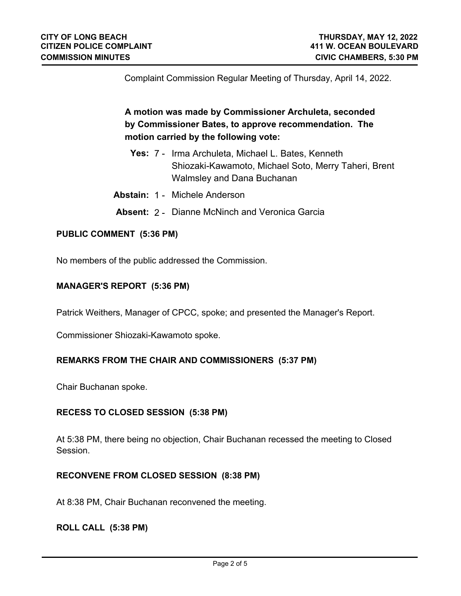Complaint Commission Regular Meeting of Thursday, April 14, 2022.

**A motion was made by Commissioner Archuleta, seconded by Commissioner Bates, to approve recommendation. The motion carried by the following vote:**

- **Yes:** 7 Irma Archuleta, Michael L. Bates, Kenneth Shiozaki-Kawamoto, Michael Soto, Merry Taheri, Brent Walmsley and Dana Buchanan
- **Abstain:** 1 Michele Anderson
- **Absent:** 2 Dianne McNinch and Veronica Garcia

#### **PUBLIC COMMENT (5:36 PM)**

No members of the public addressed the Commission.

#### **MANAGER'S REPORT (5:36 PM)**

Patrick Weithers, Manager of CPCC, spoke; and presented the Manager's Report.

Commissioner Shiozaki-Kawamoto spoke.

#### **REMARKS FROM THE CHAIR AND COMMISSIONERS (5:37 PM)**

Chair Buchanan spoke.

#### **RECESS TO CLOSED SESSION (5:38 PM)**

At 5:38 PM, there being no objection, Chair Buchanan recessed the meeting to Closed Session.

#### **RECONVENE FROM CLOSED SESSION (8:38 PM)**

At 8:38 PM, Chair Buchanan reconvened the meeting.

#### **ROLL CALL (5:38 PM)**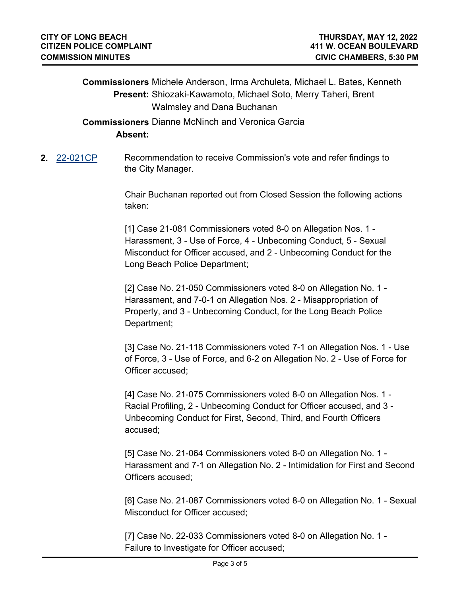**Commissioners** Michele Anderson, Irma Archuleta, Michael L. Bates, Kenneth Present: Shiozaki-Kawamoto, Michael Soto, Merry Taheri, Brent Walmsley and Dana Buchanan

 **Commissioners** Dianne McNinch and Veronica Garcia **Absent:**

**2.** [22-021CP](http://longbeach.legistar.com/gateway.aspx?M=L&ID=239493) Recommendation to receive Commission's vote and refer findings to the City Manager.

> Chair Buchanan reported out from Closed Session the following actions taken:

[1] Case 21-081 Commissioners voted 8-0 on Allegation Nos. 1 - Harassment, 3 - Use of Force, 4 - Unbecoming Conduct, 5 - Sexual Misconduct for Officer accused, and 2 - Unbecoming Conduct for the Long Beach Police Department;

[2] Case No. 21-050 Commissioners voted 8-0 on Allegation No. 1 - Harassment, and 7-0-1 on Allegation Nos. 2 - Misappropriation of Property, and 3 - Unbecoming Conduct, for the Long Beach Police Department;

[3] Case No. 21-118 Commissioners voted 7-1 on Allegation Nos. 1 - Use of Force, 3 - Use of Force, and 6-2 on Allegation No. 2 - Use of Force for Officer accused;

[4] Case No. 21-075 Commissioners voted 8-0 on Allegation Nos. 1 - Racial Profiling, 2 - Unbecoming Conduct for Officer accused, and 3 - Unbecoming Conduct for First, Second, Third, and Fourth Officers accused;

[5] Case No. 21-064 Commissioners voted 8-0 on Allegation No. 1 - Harassment and 7-1 on Allegation No. 2 - Intimidation for First and Second Officers accused;

[6] Case No. 21-087 Commissioners voted 8-0 on Allegation No. 1 - Sexual Misconduct for Officer accused;

[7] Case No. 22-033 Commissioners voted 8-0 on Allegation No. 1 - Failure to Investigate for Officer accused;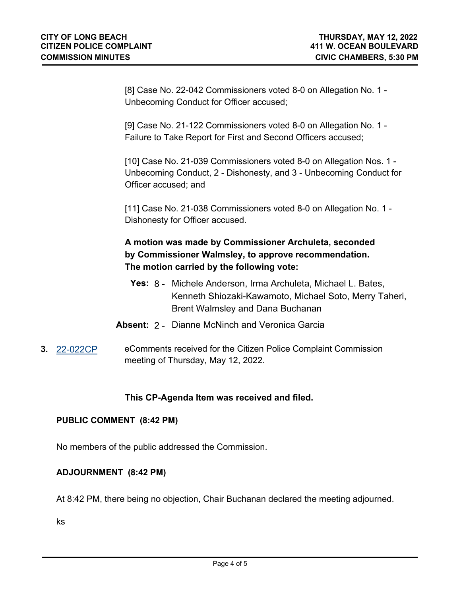[8] Case No. 22-042 Commissioners voted 8-0 on Allegation No. 1 - Unbecoming Conduct for Officer accused;

[9] Case No. 21-122 Commissioners voted 8-0 on Allegation No. 1 - Failure to Take Report for First and Second Officers accused;

[10] Case No. 21-039 Commissioners voted 8-0 on Allegation Nos. 1 -Unbecoming Conduct, 2 - Dishonesty, and 3 - Unbecoming Conduct for Officer accused; and

[11] Case No. 21-038 Commissioners voted 8-0 on Allegation No. 1 - Dishonesty for Officer accused.

# **A motion was made by Commissioner Archuleta, seconded by Commissioner Walmsley, to approve recommendation. The motion carried by the following vote:**

- **Yes:** 8 Michele Anderson, Irma Archuleta, Michael L. Bates, Kenneth Shiozaki-Kawamoto, Michael Soto, Merry Taheri, Brent Walmsley and Dana Buchanan
- **Absent:** 2 Dianne McNinch and Veronica Garcia
- **3.** [22-022CP](http://longbeach.legistar.com/gateway.aspx?M=L&ID=239668) eComments received for the Citizen Police Complaint Commission meeting of Thursday, May 12, 2022.

# **This CP-Agenda Item was received and filed.**

## **PUBLIC COMMENT (8:42 PM)**

No members of the public addressed the Commission.

## **ADJOURNMENT (8:42 PM)**

At 8:42 PM, there being no objection, Chair Buchanan declared the meeting adjourned.

ks